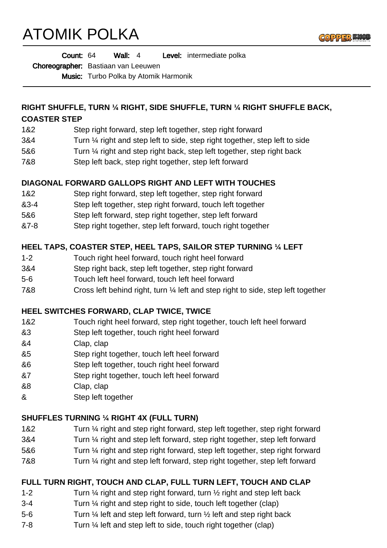# ATOMIK POLKA



| Count: 64 |  | Wall: $4$ |  |  | <b>Level:</b> intermediate polka |
|-----------|--|-----------|--|--|----------------------------------|
|-----------|--|-----------|--|--|----------------------------------|

Choreographer: Bastiaan van Leeuwen

Music: Turbo Polka by Atomik Harmonik

#### **RIGHT SHUFFLE, TURN ¼ RIGHT, SIDE SHUFFLE, TURN ¼ RIGHT SHUFFLE BACK, COASTER STEP**

- 1&2 Step right forward, step left together, step right forward
- 3&4 Turn ¼ right and step left to side, step right together, step left to side
- 5&6 Turn ¼ right and step right back, step left together, step right back
- 7&8 Step left back, step right together, step left forward

## **DIAGONAL FORWARD GALLOPS RIGHT AND LEFT WITH TOUCHES**

- 1&2 Step right forward, step left together, step right forward
- &3-4 Step left together, step right forward, touch left together
- 5&6 Step left forward, step right together, step left forward
- &7-8 Step right together, step left forward, touch right together

## **HEEL TAPS, COASTER STEP, HEEL TAPS, SAILOR STEP TURNING ¼ LEFT**

- 1-2 Touch right heel forward, touch right heel forward
- 3&4 Step right back, step left together, step right forward
- 5-6 Touch left heel forward, touch left heel forward
- 7&8 Cross left behind right, turn ¼ left and step right to side, step left together

#### **HEEL SWITCHES FORWARD, CLAP TWICE, TWICE**

- 1&2 Touch right heel forward, step right together, touch left heel forward
- &3 Step left together, touch right heel forward
- &4 Clap, clap
- &5 Step right together, touch left heel forward
- &6 Step left together, touch right heel forward
- &7 Step right together, touch left heel forward
- &8 Clap, clap
- & Step left together

#### **SHUFFLES TURNING ¼ RIGHT 4X (FULL TURN)**

- 1&2 Turn ¼ right and step right forward, step left together, step right forward
- 3&4 Turn ¼ right and step left forward, step right together, step left forward
- 5&6 Turn ¼ right and step right forward, step left together, step right forward
- 7&8 Turn ¼ right and step left forward, step right together, step left forward

# **FULL TURN RIGHT, TOUCH AND CLAP, FULL TURN LEFT, TOUCH AND CLAP**

- 1-2 Turn 1/4 right and step right forward, turn 1/2 right and step left back
- 3-4 Turn ¼ right and step right to side, touch left together (clap)
- 5-6 Turn ¼ left and step left forward, turn ½ left and step right back
- 7-8 Turn ¼ left and step left to side, touch right together (clap)